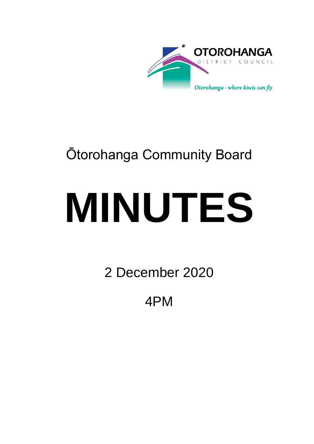

## Ōtorohanga Community Board

# **MINUTES**

2 December 2020

4PM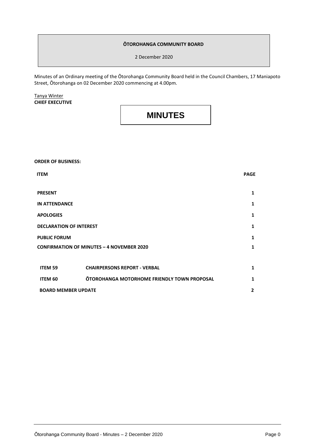#### **ŌTOROHANGA COMMUNITY BOARD**

2 December 2020

Minutes of an Ordinary meeting of the Ōtorohanga Community Board held in the Council Chambers, 17 Maniapoto Street, Ōtorohanga on 02 December 2020 commencing at 4.00pm.

Tanya Winter **CHIEF EXECUTIVE**

### **MINUTES**

**ORDER OF BUSINESS:**

| <b>ITEM</b>                                      |                                             | <b>PAGE</b>    |
|--------------------------------------------------|---------------------------------------------|----------------|
| <b>PRESENT</b>                                   |                                             | 1              |
| <b>IN ATTENDANCE</b>                             |                                             | 1              |
| <b>APOLOGIES</b>                                 |                                             | 1              |
| <b>DECLARATION OF INTEREST</b>                   |                                             | 1              |
| <b>PUBLIC FORUM</b>                              |                                             | $\mathbf{1}$   |
| <b>CONFIRMATION OF MINUTES - 4 NOVEMBER 2020</b> |                                             | $\mathbf{1}$   |
|                                                  |                                             |                |
| ITEM 59                                          | <b>CHAIRPERSONS REPORT - VERBAL</b>         | 1              |
| ITEM 60                                          | OTOROHANGA MOTORHOME FRIENDLY TOWN PROPOSAL | 1              |
| <b>BOARD MEMBER UPDATE</b>                       |                                             | $\overline{2}$ |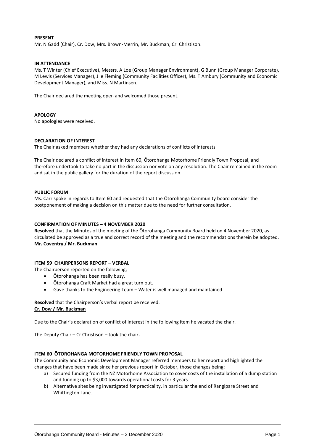#### **PRESENT**

Mr. N Gadd (Chair), Cr. Dow, Mrs. Brown-Merrin, Mr. Buckman, Cr. Christison.

#### **IN ATTENDANCE**

Ms. T Winter (Chief Executive), Messrs. A Loe (Group Manager Environment), G Bunn (Group Manager Corporate), M Lewis (Services Manager), J le Fleming (Community Facilities Officer), Ms. T Ambury (Community and Economic Development Manager), and Miss. N Martinsen.

The Chair declared the meeting open and welcomed those present.

#### **APOLOGY**

No apologies were received.

#### **DECLARATION OF INTEREST**

The Chair asked members whether they had any declarations of conflicts of interests.

The Chair declared a conflict of interest in Item 60, Ōtorohanga Motorhome Friendly Town Proposal, and therefore undertook to take no part in the discussion nor vote on any resolution. The Chair remained in the room and sat in the public gallery for the duration of the report discussion.

#### **PUBLIC FORUM**

Ms. Carr spoke in regards to Item 60 and requested that the Ōtorohanga Community board consider the postponement of making a decision on this matter due to the need for further consultation.

#### **CONFIRMATION OF MINUTES – 4 NOVEMBER 2020**

**Resolved** that the Minutes of the meeting of the Ōtorohanga Community Board held on 4 November 2020, as circulated be approved as a true and correct record of the meeting and the recommendations therein be adopted. **Mr. Coventry / Mr. Buckman**

#### **ITEM 59 CHAIRPERSONS REPORT – VERBAL**

The Chairperson reported on the following;

- Ōtorohanga has been really busy.
- Ōtorohanga Craft Market had a great turn out.
- Gave thanks to the Engineering Team Water is well managed and maintained.

**Resolved** that the Chairperson's verbal report be received. **Cr. Dow / Mr. Buckman**

Due to the Chair's declaration of conflict of interest in the following item he vacated the chair.

The Deputy Chair – Cr Christison – took the chair**.**

#### **ITEM 60 ŌTOROHANGA MOTORHOME FRIENDLY TOWN PROPOSAL**

The Community and Economic Development Manager referred members to her report and highlighted the changes that have been made since her previous report in October, those changes being;

- a) Secured funding from the NZ Motorhome Association to cover costs of the installation of a dump station and funding up to \$3,000 towards operational costs for 3 years.
- b) Alternative sites being investigated for practicality, in particular the end of Rangipare Street and Whittington Lane.